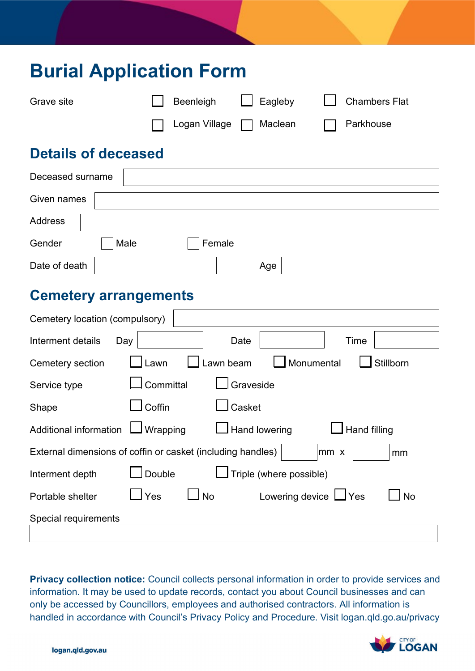| <b>Burial Application Form</b>                              |                  |                         |                                   |  |  |
|-------------------------------------------------------------|------------------|-------------------------|-----------------------------------|--|--|
| Grave site                                                  | Beenleigh        | Eagleby                 | <b>Chambers Flat</b>              |  |  |
|                                                             | Logan Village    | Maclean                 | Parkhouse                         |  |  |
| <b>Details of deceased</b>                                  |                  |                         |                                   |  |  |
| Deceased surname                                            |                  |                         |                                   |  |  |
| Given names                                                 |                  |                         |                                   |  |  |
| <b>Address</b>                                              |                  |                         |                                   |  |  |
| Gender<br>Male                                              |                  | Female                  |                                   |  |  |
| Date of death                                               |                  | Age                     |                                   |  |  |
| <b>Cemetery arrangements</b>                                |                  |                         |                                   |  |  |
| Cemetery location (compulsory)                              |                  |                         |                                   |  |  |
| Interment details<br>Day                                    |                  | Date                    | Time                              |  |  |
| Cemetery section                                            | Lawn             | Lawn beam               | Monumental<br>Stillborn           |  |  |
| Service type                                                | Committal        | Graveside               |                                   |  |  |
| Shape                                                       | Coffin           | Casket                  |                                   |  |  |
| Additional information                                      | J Wrapping       | Hand lowering           | <b>Hand filling</b>               |  |  |
| External dimensions of coffin or casket (including handles) |                  |                         | $mm \times$<br>mm                 |  |  |
| Interment depth                                             | Double           | Triple (where possible) |                                   |  |  |
| Portable shelter                                            | <b>No</b><br>Yes |                         | Lowering device LVes<br><b>No</b> |  |  |
| Special requirements                                        |                  |                         |                                   |  |  |

 information. It may be used to update records, contact you about Council businesses and can **Privacy collection notice:** Council collects personal information in order to provide services and only be accessed by Councillors, employees and authorised contractors. All information is handled in accordance with Council's Privacy Policy and Procedure. Visit logan.qld.go.au/privacy

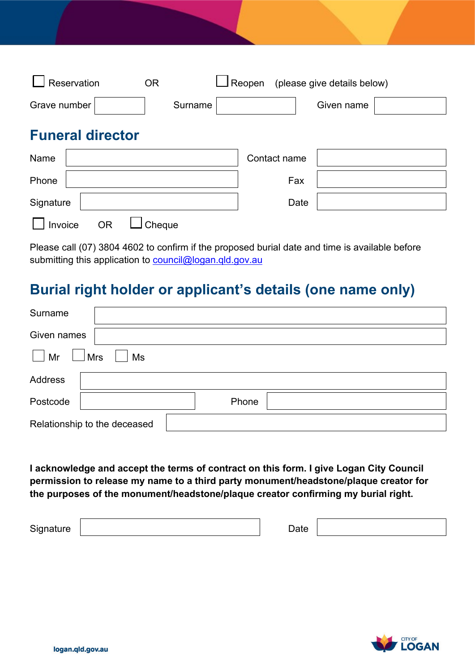| Reservation             | $\Box$ Reopen<br>(please give details below)<br><b>OR</b> |            |  |
|-------------------------|-----------------------------------------------------------|------------|--|
| Grave number            | Surname                                                   | Given name |  |
| <b>Funeral director</b> |                                                           |            |  |
| Name                    | Contact name                                              |            |  |
| Phone                   |                                                           | Fax        |  |
| Signature               |                                                           | Date       |  |
| Invoice<br>ΟR           | Cheque                                                    |            |  |

Please call (07) 3804 4602 to confirm if the proposed burial date and time is available before submitting this application to council@logan.qld.gov.au

# **Burial right holder or applicant's details (one name only)**

| Surname                      |                  |
|------------------------------|------------------|
| Given names                  |                  |
| Mr                           | <b>Mrs</b><br>Ms |
| <b>Address</b>               |                  |
| Postcode                     | Phone            |
| Relationship to the deceased |                  |

 **permission to release my name to a third party monument/headstone/plaque creator for I acknowledge and accept the terms of contract on this form. I give Logan City Council the purposes of the monument/headstone/plaque creator confirming my burial right.** 

Signature **Date** 

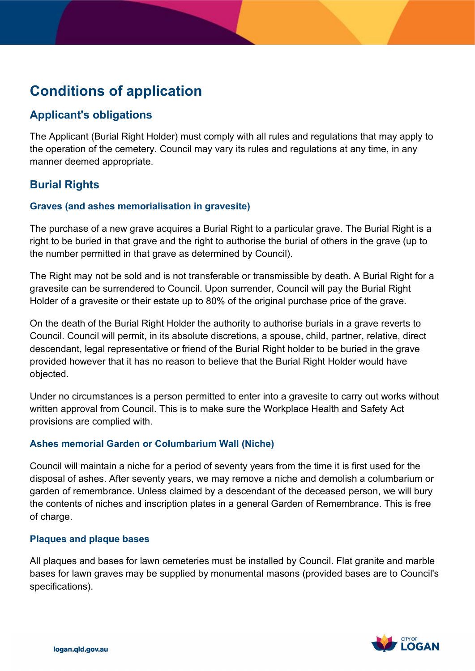# **Conditions of application**

### **Applicant's obligations**

The Applicant (Burial Right Holder) must comply with all rules and regulations that may apply to the operation of the cemetery. Council may vary its rules and regulations at any time, in any manner deemed appropriate.

## **Burial Rights**

#### **Graves (and ashes memorialisation in gravesite)**

The purchase of a new grave acquires a Burial Right to a particular grave. The Burial Right is a right to be buried in that grave and the right to authorise the burial of others in the grave (up to the number permitted in that grave as determined by Council).

 Holder of a gravesite or their estate up to 80% of the original purchase price of the grave. The Right may not be sold and is not transferable or transmissible by death. A Burial Right for a gravesite can be surrendered to Council. Upon surrender, Council will pay the Burial Right

 provided however that it has no reason to believe that the Burial Right Holder would have On the death of the Burial Right Holder the authority to authorise burials in a grave reverts to Council. Council will permit, in its absolute discretions, a spouse, child, partner, relative, direct descendant, legal representative or friend of the Burial Right holder to be buried in the grave objected.

Under no circumstances is a person permitted to enter into a gravesite to carry out works without written approval from Council. This is to make sure the Workplace Health and Safety Act provisions are complied with.

#### **Ashes memorial Garden or Columbarium Wall (Niche)**

Council will maintain a niche for a period of seventy years from the time it is first used for the disposal of ashes. After seventy years, we may remove a niche and demolish a columbarium or garden of remembrance. Unless claimed by a descendant of the deceased person, we will bury the contents of niches and inscription plates in a general Garden of Remembrance. This is free of charge.

#### **Plaques and plaque bases**

 bases for lawn graves may be supplied by monumental masons (provided bases are to Council's All plaques and bases for lawn cemeteries must be installed by Council. Flat granite and marble specifications).